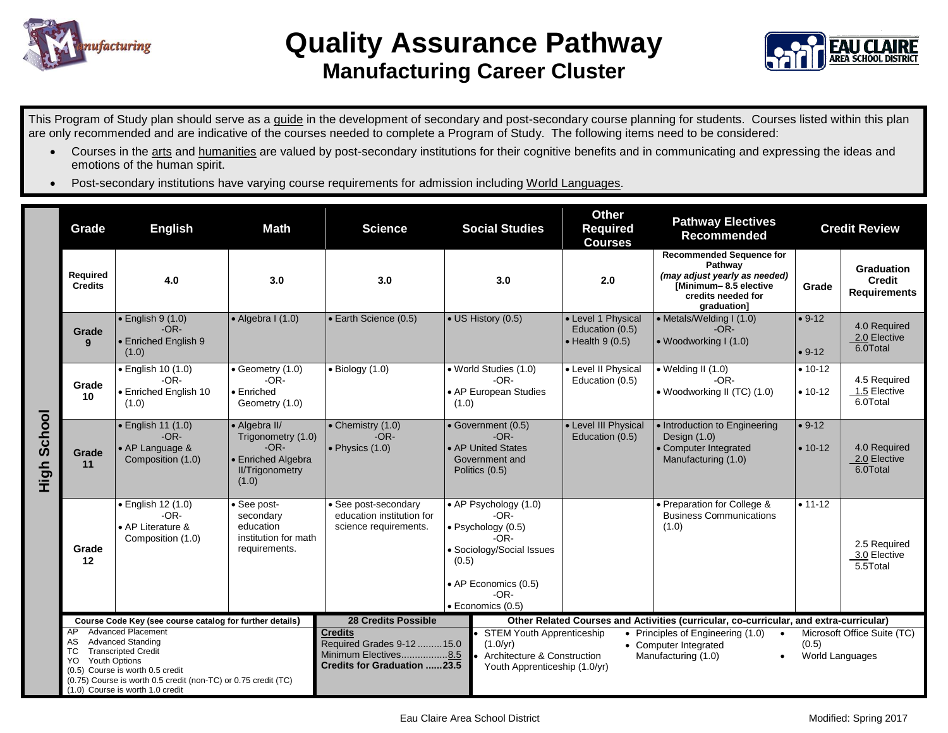



This Program of Study plan should serve as a guide in the development of secondary and post-secondary course planning for students. Courses listed within this plan are only recommended and are indicative of the courses needed to complete a Program of Study. The following items need to be considered:

- Courses in the arts and humanities are valued by post-secondary institutions for their cognitive benefits and in communicating and expressing the ideas and emotions of the human spirit.
- Post-secondary institutions have varying course requirements for admission including World Languages.

|                  | Grade                                                                                                                                                                                                                                                                                                                                     | <b>English</b>                                                               | <b>Math</b><br><b>Science</b>                                                                          |                                                                                                                                         |                                                                                                                                                          | <b>Social Studies</b>                                                                                                                                                                                                                                                                                                          | <b>Other</b><br><b>Required</b><br><b>Courses</b>                 | <b>Pathway Electives</b><br><b>Recommended</b>                                                                                            |                                                         | <b>Credit Review</b>                               |
|------------------|-------------------------------------------------------------------------------------------------------------------------------------------------------------------------------------------------------------------------------------------------------------------------------------------------------------------------------------------|------------------------------------------------------------------------------|--------------------------------------------------------------------------------------------------------|-----------------------------------------------------------------------------------------------------------------------------------------|----------------------------------------------------------------------------------------------------------------------------------------------------------|--------------------------------------------------------------------------------------------------------------------------------------------------------------------------------------------------------------------------------------------------------------------------------------------------------------------------------|-------------------------------------------------------------------|-------------------------------------------------------------------------------------------------------------------------------------------|---------------------------------------------------------|----------------------------------------------------|
|                  | Required<br><b>Credits</b>                                                                                                                                                                                                                                                                                                                | 4.0                                                                          | 3.0                                                                                                    | 3.0                                                                                                                                     | 3.0                                                                                                                                                      |                                                                                                                                                                                                                                                                                                                                | 2.0                                                               | <b>Recommended Sequence for</b><br>Pathway<br>(may adjust yearly as needed)<br>[Minimum-8.5 elective<br>credits needed for<br>graduation] | Grade                                                   | <b>Graduation</b><br>Credit<br><b>Requirements</b> |
| School<br>6<br>도 | Grade<br>9                                                                                                                                                                                                                                                                                                                                | $\bullet$ English 9 (1.0)<br>$-OR-$<br>• Enriched English 9<br>(1.0)         | $\bullet$ Algebra I (1.0)                                                                              | • Earth Science (0.5)                                                                                                                   | • US History (0.5)                                                                                                                                       |                                                                                                                                                                                                                                                                                                                                | • Level 1 Physical<br>Education (0.5)<br>$\bullet$ Health 9 (0.5) | • Metals/Welding I (1.0)<br>$-OR-$<br>• Woodworking I (1.0)                                                                               | $• 9-12$<br>$• 9-12$                                    | 4.0 Required<br>2.0 Elective<br>6.0Total           |
|                  | Grade<br>10                                                                                                                                                                                                                                                                                                                               | · English 10 (1.0)<br>$-OR-$<br>• Enriched English 10<br>(1.0)               | $\bullet$ Geometry (1.0)<br>$-OR-$<br>$\bullet$ Enriched<br>Geometry (1.0)                             | $\bullet$ Biology (1.0)                                                                                                                 | · World Studies (1.0)<br>$-OR-$<br>• AP European Studies<br>(1.0)                                                                                        |                                                                                                                                                                                                                                                                                                                                | • Level II Physical<br>Education (0.5)                            | $\bullet$ Welding II (1.0)<br>$-OR-$<br>• Woodworking II (TC) (1.0)                                                                       | $• 10-12$<br>$• 10-12$                                  | 4.5 Required<br>1.5 Elective<br>6.0Total           |
|                  | Grade<br>11                                                                                                                                                                                                                                                                                                                               | $\bullet$ English 11 (1.0)<br>$-OR-$<br>• AP Language &<br>Composition (1.0) | • Algebra II/<br>Trigonometry (1.0)<br>$-OR-$<br>• Enriched Algebra<br><b>II/Trigonometry</b><br>(1.0) | $\bullet$ Chemistry (1.0)<br>$-OR-$<br>$\bullet$ Physics (1.0)                                                                          | • Government (0.5)<br>$-OR-$<br>• AP United States<br>Government and<br>Politics (0.5)                                                                   |                                                                                                                                                                                                                                                                                                                                | • Level III Physical<br>Education (0.5)                           | • Introduction to Engineering<br>Design (1.0)<br>• Computer Integrated<br>Manufacturing (1.0)                                             | $• 9-12$<br>$• 10-12$                                   | 4.0 Required<br>2.0 Elective<br>6.0Total           |
|                  | Grade<br>12                                                                                                                                                                                                                                                                                                                               | · English 12 (1.0)<br>$-OR-$<br>• AP Literature &<br>Composition (1.0)       | • See post-<br>secondary<br>education<br>institution for math<br>requirements.                         | · See post-secondary<br>education institution for<br>science requirements.                                                              | • AP Psychology (1.0)<br>$-OR-$<br>• Psychology (0.5)<br>-OR-<br>• Sociology/Social Issues<br>(0.5)<br>• AP Economics (0.5)<br>-OR-<br>· Economics (0.5) |                                                                                                                                                                                                                                                                                                                                |                                                                   | • Preparation for College &<br><b>Business Communications</b><br>(1.0)                                                                    | $• 11 - 12$                                             | 2.5 Required<br>3.0 Elective<br>5.5Total           |
|                  | Course Code Key (see course catalog for further details)<br><b>Advanced Placement</b><br>AP<br><b>Advanced Standing</b><br>AS<br>TC<br><b>Transcripted Credit</b><br>YO<br><b>Youth Options</b><br>(0.5) Course is worth 0.5 credit<br>(0.75) Course is worth 0.5 credit (non-TC) or 0.75 credit (TC)<br>(1.0) Course is worth 1.0 credit |                                                                              |                                                                                                        | <b>28 Credits Possible</b><br><b>Credits</b><br>Required Grades 9-12 15.0<br>Minimum Electives8.5<br><b>Credits for Graduation 23.5</b> |                                                                                                                                                          | Other Related Courses and Activities (curricular, co-curricular, and extra-curricular)<br><b>STEM Youth Apprenticeship</b><br>• Principles of Engineering (1.0)<br>$\bullet$<br>$(1.0/\text{yr})$<br>• Computer Integrated<br>Architecture & Construction<br>Manufacturing (1.0)<br>$\bullet$<br>Youth Apprenticeship (1.0/yr) |                                                                   |                                                                                                                                           | Microsoft Office Suite (TC)<br>(0.5)<br>World Languages |                                                    |